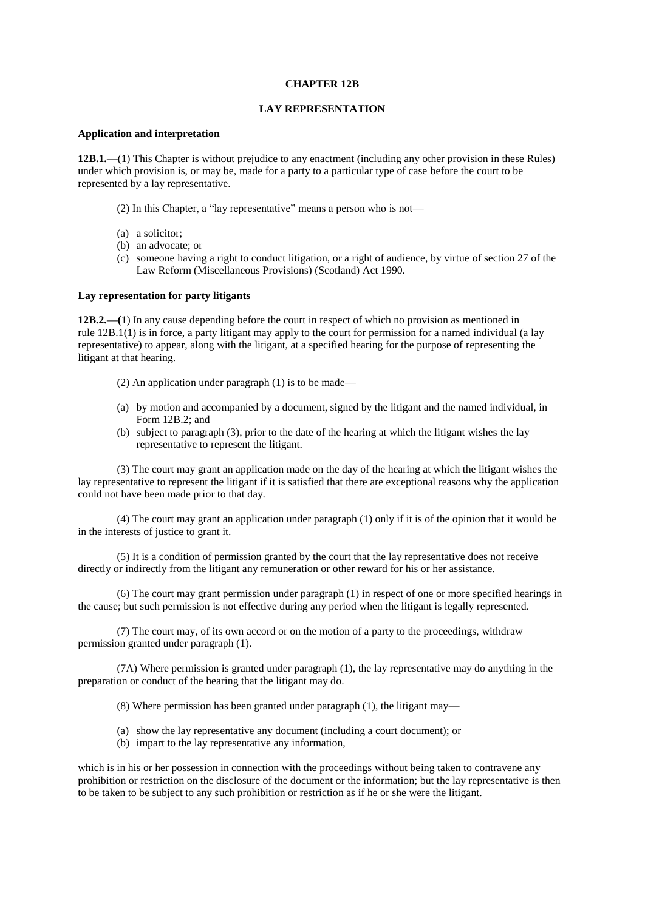## **CHAPTER 12B**

## **LAY REPRESENTATION**

#### **Application and interpretation**

**12B.1.**—(1) This Chapter is without prejudice to any enactment (including any other provision in these Rules) under which provision is, or may be, made for a party to a particular type of case before the court to be represented by a lay representative.

- (2) In this Chapter, a "lay representative" means a person who is not—
- (a) a solicitor;
- (b) an advocate; or
- (c) someone having a right to conduct litigation, or a right of audience, by virtue of section 27 of the Law Reform (Miscellaneous Provisions) (Scotland) Act 1990.

## **Lay representation for party litigants**

**12B.2.—(**1) In any cause depending before the court in respect of which no provision as mentioned in rule 12B.1(1) is in force, a party litigant may apply to the court for permission for a named individual (a lay representative) to appear, along with the litigant, at a specified hearing for the purpose of representing the litigant at that hearing.

- (2) An application under paragraph (1) is to be made—
- (a) by motion and accompanied by a document, signed by the litigant and the named individual, in Form 12B.2; and
- (b) subject to paragraph (3), prior to the date of the hearing at which the litigant wishes the lay representative to represent the litigant.

(3) The court may grant an application made on the day of the hearing at which the litigant wishes the lay representative to represent the litigant if it is satisfied that there are exceptional reasons why the application could not have been made prior to that day.

(4) The court may grant an application under paragraph (1) only if it is of the opinion that it would be in the interests of justice to grant it.

(5) It is a condition of permission granted by the court that the lay representative does not receive directly or indirectly from the litigant any remuneration or other reward for his or her assistance.

(6) The court may grant permission under paragraph (1) in respect of one or more specified hearings in the cause; but such permission is not effective during any period when the litigant is legally represented.

(7) The court may, of its own accord or on the motion of a party to the proceedings, withdraw permission granted under paragraph (1).

(7A) Where permission is granted under paragraph (1), the lay representative may do anything in the preparation or conduct of the hearing that the litigant may do.

(8) Where permission has been granted under paragraph (1), the litigant may—

- (a) show the lay representative any document (including a court document); or
- (b) impart to the lay representative any information,

which is in his or her possession in connection with the proceedings without being taken to contravene any prohibition or restriction on the disclosure of the document or the information; but the lay representative is then to be taken to be subject to any such prohibition or restriction as if he or she were the litigant.